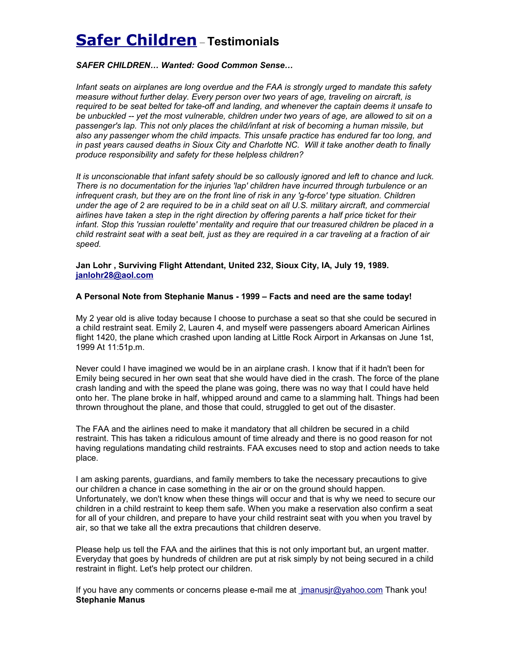# **Safer Children** – **Testimonials**

# *SAFER CHILDREN… Wanted: Good Common Sense…*

*Infant seats on airplanes are long overdue and the FAA is strongly urged to mandate this safety measure without further delay. Every person over two years of age, traveling on aircraft, is required to be seat belted for take-off and landing, and whenever the captain deems it unsafe to be unbuckled -- yet the most vulnerable, children under two years of age, are allowed to sit on a passenger's lap. This not only places the child/infant at risk of becoming a human missile, but also any passenger whom the child impacts. This unsafe practice has endured far too long, and in past years caused deaths in Sioux City and Charlotte NC. Will it take another death to finally produce responsibility and safety for these helpless children?*

*It is unconscionable that infant safety should be so callously ignored and left to chance and luck. There is no documentation for the injuries 'lap' children have incurred through turbulence or an infrequent crash, but they are on the front line of risk in any 'g-force' type situation. Children under the age of 2 are required to be in a child seat on all U.S. military aircraft, and commercial airlines have taken a step in the right direction by offering parents a half price ticket for their infant. Stop this 'russian roulette' mentality and require that our treasured children be placed in a child restraint seat with a seat belt, just as they are required in a car traveling at a fraction of air speed.*

**Jan Lohr , Surviving Flight Attendant, United 232, Sioux City, IA, July 19, 1989. [janlohr28@aol.com](mailto:janlohr28@aol.com)** 

# **A Personal Note from Stephanie Manus - 1999 – Facts and need are the same today!**

My 2 year old is alive today because I choose to purchase a seat so that she could be secured in a child restraint seat. Emily 2, Lauren 4, and myself were passengers aboard American Airlines flight 1420, the plane which crashed upon landing at Little Rock Airport in Arkansas on June 1st, 1999 At 11:51p.m.

Never could I have imagined we would be in an airplane crash. I know that if it hadn't been for Emily being secured in her own seat that she would have died in the crash. The force of the plane crash landing and with the speed the plane was going, there was no way that I could have held onto her. The plane broke in half, whipped around and came to a slamming halt. Things had been thrown throughout the plane, and those that could, struggled to get out of the disaster.

The FAA and the airlines need to make it mandatory that all children be secured in a child restraint. This has taken a ridiculous amount of time already and there is no good reason for not having regulations mandating child restraints. FAA excuses need to stop and action needs to take place.

I am asking parents, guardians, and family members to take the necessary precautions to give our children a chance in case something in the air or on the ground should happen. Unfortunately, we don't know when these things will occur and that is why we need to secure our children in a child restraint to keep them safe. When you make a reservation also confirm a seat for all of your children, and prepare to have your child restraint seat with you when you travel by air, so that we take all the extra precautions that children deserve.

Please help us tell the FAA and the airlines that this is not only important but, an urgent matter. Everyday that goes by hundreds of children are put at risk simply by not being secured in a child restraint in flight. Let's help protect our children.

If you have any comments or concerns please e-mail me at [jmanusjr@yahoo.com](mailto:manusfamily@msn.com) Thank you! **Stephanie Manus**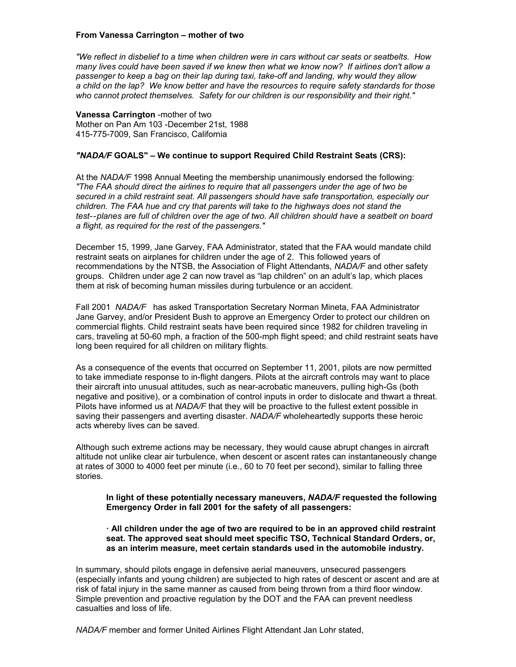## **From Vanessa Carrington – mother of two**

*"We reflect in disbelief to a time when children were in cars without car seats or seatbelts. How many lives could have been saved if we knew then what we know now? If airlines don't allow a passenger to keep a bag on their lap during taxi, take-off and landing, why would they allow a child on the lap? We know better and have the resources to require safety standards for those who cannot protect themselves. Safety for our children is our responsibility and their right."*

**Vanessa Carrington** -mother of two Mother on Pan Am 103 -December 21st, 1988 415-775-7009, San Francisco, California

## *"NADA/F* **GOALS" – We continue to support Required Child Restraint Seats (CRS):**

At the *NADA/F* 1998 Annual Meeting the membership unanimously endorsed the following: *"The FAA should direct the airlines to require that all passengers under the age of two be secured in a child restraint seat. All passengers should have safe transportation, especially our children. The FAA hue and cry that parents will take to the highways does not stand the test--planes are full of children over the age of two. All children should have a seatbelt on board a flight, as required for the rest of the passengers."*

December 15, 1999, Jane Garvey, FAA Administrator, stated that the FAA would mandate child restraint seats on airplanes for children under the age of 2. This followed years of recommendations by the NTSB, the Association of Flight Attendants, *NADA/F* and other safety groups. Children under age 2 can now travel as "lap children" on an adult's lap, which places them at risk of becoming human missiles during turbulence or an accident.

Fall 2001 *NADA/F* has asked Transportation Secretary Norman Mineta, FAA Administrator Jane Garvey, and/or President Bush to approve an Emergency Order to protect our children on commercial flights. Child restraint seats have been required since 1982 for children traveling in cars, traveling at 50-60 mph, a fraction of the 500-mph flight speed; and child restraint seats have long been required for all children on military flights.

As a consequence of the events that occurred on September 11, 2001, pilots are now permitted to take immediate response to in-flight dangers. Pilots at the aircraft controls may want to place their aircraft into unusual attitudes, such as near-acrobatic maneuvers, pulling high-Gs (both negative and positive), or a combination of control inputs in order to dislocate and thwart a threat. Pilots have informed us at *NADA/F* that they will be proactive to the fullest extent possible in saving their passengers and averting disaster. *NADA/F* wholeheartedly supports these heroic acts whereby lives can be saved.

Although such extreme actions may be necessary, they would cause abrupt changes in aircraft altitude not unlike clear air turbulence, when descent or ascent rates can instantaneously change at rates of 3000 to 4000 feet per minute (i.e., 60 to 70 feet per second), similar to falling three stories.

**In light of these potentially necessary maneuvers,** *NADA/F* **requested the following Emergency Order in fall 2001 for the safety of all passengers:**

## **· All children under the age of two are required to be in an approved child restraint seat. The approved seat should meet specific TSO, Technical Standard Orders, or, as an interim measure, meet certain standards used in the automobile industry.**

In summary, should pilots engage in defensive aerial maneuvers, unsecured passengers (especially infants and young children) are subjected to high rates of descent or ascent and are at risk of fatal injury in the same manner as caused from being thrown from a third floor window. Simple prevention and proactive regulation by the DOT and the FAA can prevent needless casualties and loss of life.

*NADA/F* member and former United Airlines Flight Attendant Jan Lohr stated,